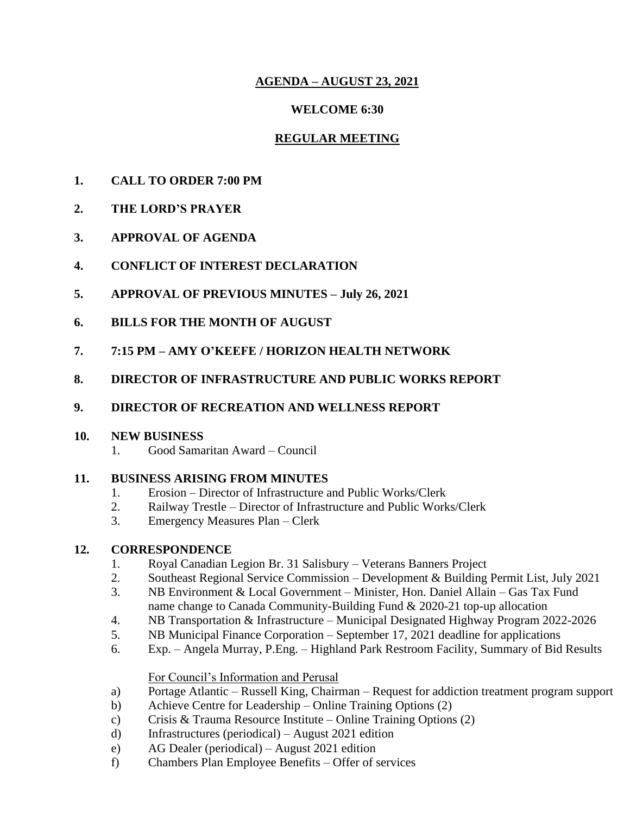## **AGENDA – AUGUST 23, 2021**

### **WELCOME 6:30**

## **REGULAR MEETING**

- **1. CALL TO ORDER 7:00 PM**
- **2. THE LORD'S PRAYER**
- **3. APPROVAL OF AGENDA**
- **4. CONFLICT OF INTEREST DECLARATION**
- **5. APPROVAL OF PREVIOUS MINUTES – July 26, 2021**
- **6. BILLS FOR THE MONTH OF AUGUST**
- **7. 7:15 PM – AMY O'KEEFE / HORIZON HEALTH NETWORK**
- **8. DIRECTOR OF INFRASTRUCTURE AND PUBLIC WORKS REPORT**

# **9. DIRECTOR OF RECREATION AND WELLNESS REPORT**

### **10. NEW BUSINESS**

1. Good Samaritan Award – Council

## **11. BUSINESS ARISING FROM MINUTES**

- 1. Erosion Director of Infrastructure and Public Works/Clerk
- 2. Railway Trestle Director of Infrastructure and Public Works/Clerk
- 3. Emergency Measures Plan Clerk

## **12. CORRESPONDENCE**

- 1. Royal Canadian Legion Br. 31 Salisbury Veterans Banners Project
- 2. Southeast Regional Service Commission Development & Building Permit List, July 2021
- 3. NB Environment & Local Government Minister, Hon. Daniel Allain Gas Tax Fund name change to Canada Community-Building Fund & 2020-21 top-up allocation
- 4. NB Transportation & Infrastructure Municipal Designated Highway Program 2022-2026
- 5. NB Municipal Finance Corporation September 17, 2021 deadline for applications
- 6. Exp. Angela Murray, P.Eng. Highland Park Restroom Facility, Summary of Bid Results

For Council's Information and Perusal

- a) Portage Atlantic Russell King, Chairman Request for addiction treatment program support
- b) Achieve Centre for Leadership Online Training Options (2)
- c) Crisis & Trauma Resource Institute Online Training Options (2)
- d) Infrastructures (periodical) August 2021 edition
- e) AG Dealer (periodical) August 2021 edition
- f) Chambers Plan Employee Benefits Offer of services